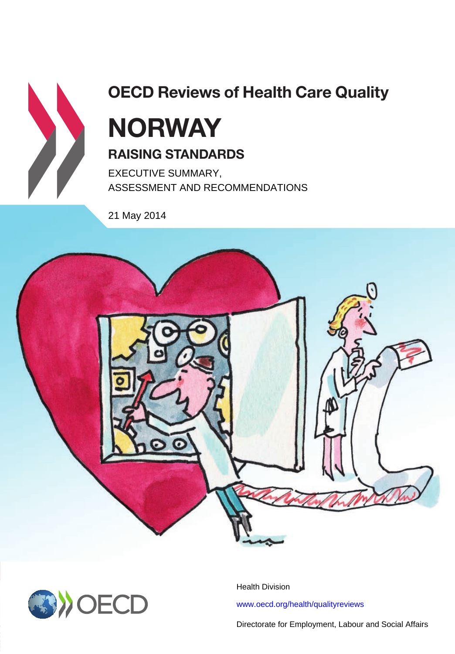

# **OECD Reviews of Health Care Quality**

# **NORway RaisiNg staNDaRDs**

ASSESSMENT AND RECOMMENDATIONS

21 May 2014





Health Division<br><www.oecd.org/health/qualityreviews>

Directorate for Employment, Labour and Social Affairs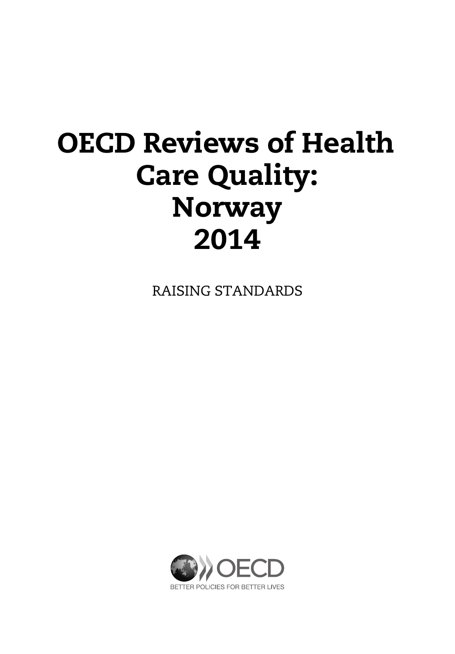# **OECD Reviews of Health Care Quality: Norway 2014**

RAISING STANDARDS

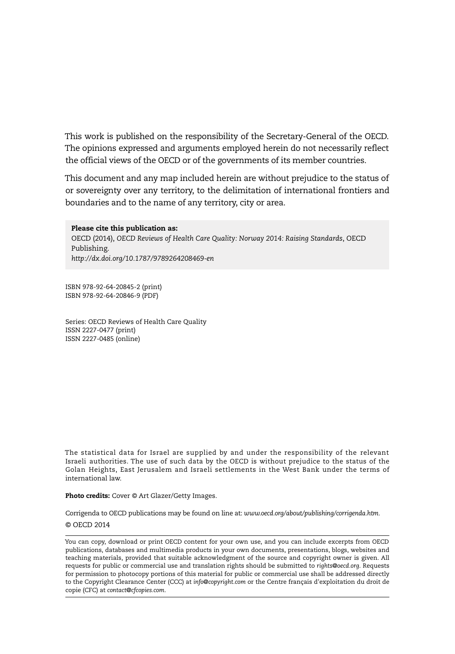This work is published on the responsibility of the Secretary-General of the OECD. The opinions expressed and arguments employed herein do not necessarily reflect the official views of the OECD or of the governments of its member countries.

This document and any map included herein are without prejudice to the status of or sovereignty over any territory, to the delimitation of international frontiers and boundaries and to the name of any territory, city or area.

**Please cite this publication as:** OECD (2014), *OECD Reviews of Health Care Quality: Norway 2014: Raising Standards*, OECD Publishing. *http://dx.doi.org/10.1787/9789264208469-en*

ISBN 978-92-64-20845-2 (print) ISBN 978-92-64-20846-9 (PDF)

Series: OECD Reviews of Health Care Quality ISSN 2227-0477 (print) ISSN 2227-0485 (online)

The statistical data for Israel are supplied by and under the responsibility of the relevant Israeli authorities. The use of such data by the OECD is without prejudice to the status of the Golan Heights, East Jerusalem and Israeli settlements in the West Bank under the terms of international law.

**Photo credits:** Cover © Art Glazer/Getty Images.

Corrigenda to OECD publications may be found on line at: *www.oecd.org/about/publishing/corrigenda.htm.*

#### © OECD 2014

You can copy, download or print OECD content for your own use, and you can include excerpts from OECD publications, databases and multimedia products in your own documents, presentations, blogs, websites and teaching materials, provided that suitable acknowledgment of the source and copyright owner is given. All requests for public or commercial use and translation rights should be submitted to *rights@oecd.org*. Requests for permission to photocopy portions of this material for public or commercial use shall be addressed directly to the Copyright Clearance Center (CCC) at *info@copyright.com* or the Centre français d'exploitation du droit de copie (CFC) at *contact@cfcopies.com*.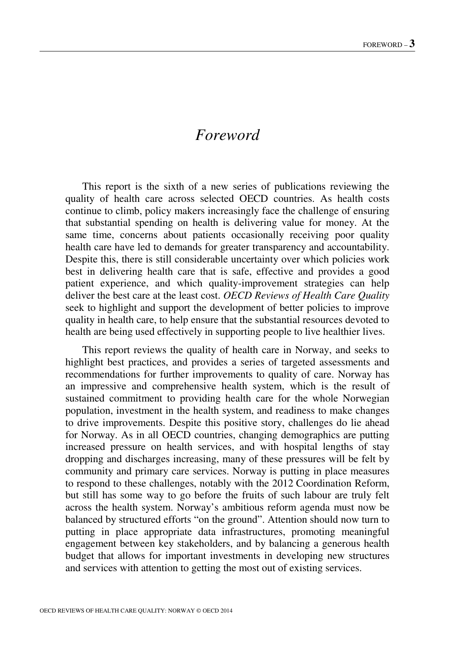# *Foreword*

This report is the sixth of a new series of publications reviewing the quality of health care across selected OECD countries. As health costs continue to climb, policy makers increasingly face the challenge of ensuring that substantial spending on health is delivering value for money. At the same time, concerns about patients occasionally receiving poor quality health care have led to demands for greater transparency and accountability. Despite this, there is still considerable uncertainty over which policies work best in delivering health care that is safe, effective and provides a good patient experience, and which quality-improvement strategies can help deliver the best care at the least cost. *OECD Reviews of Health Care Quality* seek to highlight and support the development of better policies to improve quality in health care, to help ensure that the substantial resources devoted to health are being used effectively in supporting people to live healthier lives.

This report reviews the quality of health care in Norway, and seeks to highlight best practices, and provides a series of targeted assessments and recommendations for further improvements to quality of care. Norway has an impressive and comprehensive health system, which is the result of sustained commitment to providing health care for the whole Norwegian population, investment in the health system, and readiness to make changes to drive improvements. Despite this positive story, challenges do lie ahead for Norway. As in all OECD countries, changing demographics are putting increased pressure on health services, and with hospital lengths of stay dropping and discharges increasing, many of these pressures will be felt by community and primary care services. Norway is putting in place measures to respond to these challenges, notably with the 2012 Coordination Reform, but still has some way to go before the fruits of such labour are truly felt across the health system. Norway's ambitious reform agenda must now be balanced by structured efforts "on the ground". Attention should now turn to putting in place appropriate data infrastructures, promoting meaningful engagement between key stakeholders, and by balancing a generous health budget that allows for important investments in developing new structures and services with attention to getting the most out of existing services.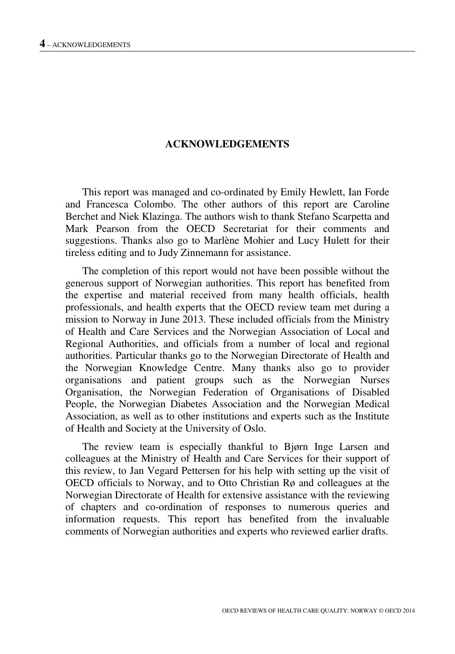#### **ACKNOWLEDGEMENTS**

This report was managed and co-ordinated by Emily Hewlett, Ian Forde and Francesca Colombo. The other authors of this report are Caroline Berchet and Niek Klazinga. The authors wish to thank Stefano Scarpetta and Mark Pearson from the OECD Secretariat for their comments and suggestions. Thanks also go to Marlène Mohier and Lucy Hulett for their tireless editing and to Judy Zinnemann for assistance.

The completion of this report would not have been possible without the generous support of Norwegian authorities. This report has benefited from the expertise and material received from many health officials, health professionals, and health experts that the OECD review team met during a mission to Norway in June 2013. These included officials from the Ministry of Health and Care Services and the Norwegian Association of Local and Regional Authorities, and officials from a number of local and regional authorities. Particular thanks go to the Norwegian Directorate of Health and the Norwegian Knowledge Centre. Many thanks also go to provider organisations and patient groups such as the Norwegian Nurses Organisation, the Norwegian Federation of Organisations of Disabled People, the Norwegian Diabetes Association and the Norwegian Medical Association, as well as to other institutions and experts such as the Institute of Health and Society at the University of Oslo.

The review team is especially thankful to Bjørn Inge Larsen and colleagues at the Ministry of Health and Care Services for their support of this review, to Jan Vegard Pettersen for his help with setting up the visit of OECD officials to Norway, and to Otto Christian Rø and colleagues at the Norwegian Directorate of Health for extensive assistance with the reviewing of chapters and co-ordination of responses to numerous queries and information requests. This report has benefited from the invaluable comments of Norwegian authorities and experts who reviewed earlier drafts.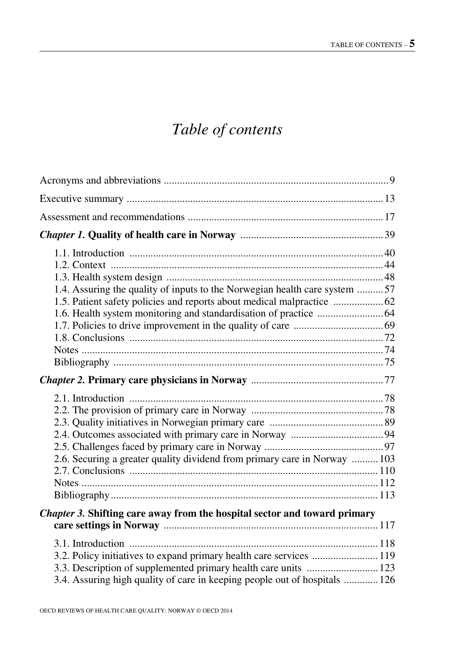# *Table of contents*

| 1.4. Assuring the quality of inputs to the Norwegian health care system 57                                                                        |  |
|---------------------------------------------------------------------------------------------------------------------------------------------------|--|
|                                                                                                                                                   |  |
| 2.6. Securing a greater quality dividend from primary care in Norway  103                                                                         |  |
| Chapter 3. Shifting care away from the hospital sector and toward primary                                                                         |  |
| 3.2. Policy initiatives to expand primary health care services  119<br>3.4. Assuring high quality of care in keeping people out of hospitals  126 |  |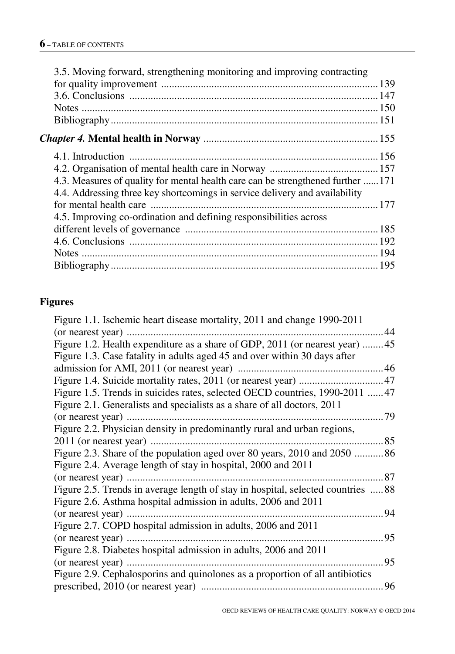| 3.5. Moving forward, strengthening monitoring and improving contracting          |  |
|----------------------------------------------------------------------------------|--|
|                                                                                  |  |
|                                                                                  |  |
|                                                                                  |  |
|                                                                                  |  |
|                                                                                  |  |
|                                                                                  |  |
| 4.3. Measures of quality for mental health care can be strengthened further  171 |  |
| 4.4. Addressing three key shortcomings in service delivery and availability      |  |
|                                                                                  |  |
| 4.5. Improving co-ordination and defining responsibilities across                |  |
|                                                                                  |  |
|                                                                                  |  |
|                                                                                  |  |
|                                                                                  |  |
|                                                                                  |  |

# **Figures**

| Figure 1.1. Ischemic heart disease mortality, 2011 and change 1990-2011          |  |
|----------------------------------------------------------------------------------|--|
|                                                                                  |  |
| Figure 1.2. Health expenditure as a share of GDP, 2011 (or nearest year) 45      |  |
| Figure 1.3. Case fatality in adults aged 45 and over within 30 days after        |  |
|                                                                                  |  |
|                                                                                  |  |
| Figure 1.5. Trends in suicides rates, selected OECD countries, 1990-2011  47     |  |
| Figure 2.1. Generalists and specialists as a share of all doctors, 2011          |  |
|                                                                                  |  |
| Figure 2.2. Physician density in predominantly rural and urban regions,          |  |
|                                                                                  |  |
| Figure 2.3. Share of the population aged over 80 years, 2010 and 2050 86         |  |
| Figure 2.4. Average length of stay in hospital, 2000 and 2011                    |  |
|                                                                                  |  |
| Figure 2.5. Trends in average length of stay in hospital, selected countries  88 |  |
| Figure 2.6. Asthma hospital admission in adults, 2006 and 2011                   |  |
|                                                                                  |  |
| Figure 2.7. COPD hospital admission in adults, 2006 and 2011                     |  |
|                                                                                  |  |
| Figure 2.8. Diabetes hospital admission in adults, 2006 and 2011                 |  |
|                                                                                  |  |
| Figure 2.9. Cephalosporins and quinolones as a proportion of all antibiotics     |  |
|                                                                                  |  |
|                                                                                  |  |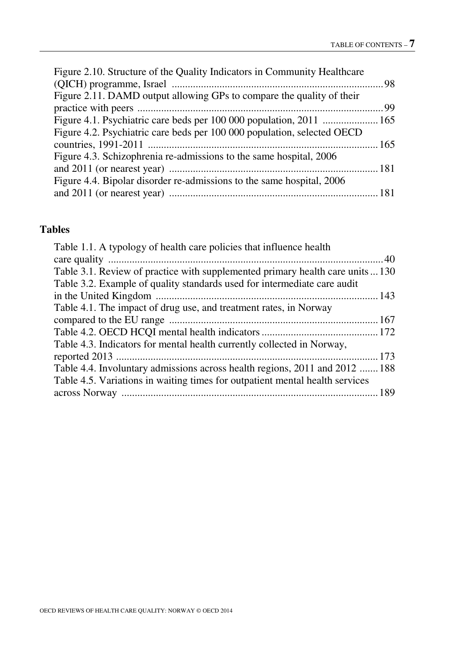# **Tables**

| Table 1.1. A typology of health care policies that influence health            |  |
|--------------------------------------------------------------------------------|--|
|                                                                                |  |
| Table 3.1. Review of practice with supplemented primary health care units  130 |  |
| Table 3.2. Example of quality standards used for intermediate care audit       |  |
|                                                                                |  |
| Table 4.1. The impact of drug use, and treatment rates, in Norway              |  |
|                                                                                |  |
|                                                                                |  |
| Table 4.3. Indicators for mental health currently collected in Norway,         |  |
|                                                                                |  |
| Table 4.4. Involuntary admissions across health regions, 2011 and 2012  188    |  |
| Table 4.5. Variations in waiting times for outpatient mental health services   |  |
|                                                                                |  |
|                                                                                |  |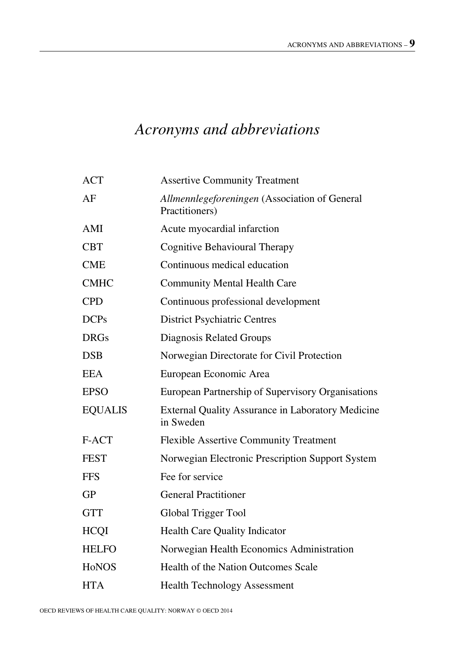# <span id="page-9-0"></span>*Acronyms and abbreviations*

| <b>ACT</b>     | <b>Assertive Community Treatment</b>                            |
|----------------|-----------------------------------------------------------------|
| AF             | Allmennlegeforeningen (Association of General<br>Practitioners) |
| AMI            | Acute myocardial infarction                                     |
| <b>CBT</b>     | Cognitive Behavioural Therapy                                   |
| <b>CME</b>     | Continuous medical education                                    |
| <b>CMHC</b>    | <b>Community Mental Health Care</b>                             |
| <b>CPD</b>     | Continuous professional development                             |
| <b>DCPs</b>    | <b>District Psychiatric Centres</b>                             |
| <b>DRGs</b>    | Diagnosis Related Groups                                        |
| <b>DSB</b>     | Norwegian Directorate for Civil Protection                      |
| <b>EEA</b>     | European Economic Area                                          |
| <b>EPSO</b>    | European Partnership of Supervisory Organisations               |
| <b>EQUALIS</b> | External Quality Assurance in Laboratory Medicine<br>in Sweden  |
| F-ACT          | <b>Flexible Assertive Community Treatment</b>                   |
| <b>FEST</b>    | Norwegian Electronic Prescription Support System                |
| <b>FFS</b>     | Fee for service                                                 |
| GP             | <b>General Practitioner</b>                                     |
| <b>GTT</b>     | Global Trigger Tool                                             |
| <b>HCQI</b>    | Health Care Quality Indicator                                   |
| <b>HELFO</b>   | Norwegian Health Economics Administration                       |
| <b>HoNOS</b>   | Health of the Nation Outcomes Scale                             |
| <b>HTA</b>     | <b>Health Technology Assessment</b>                             |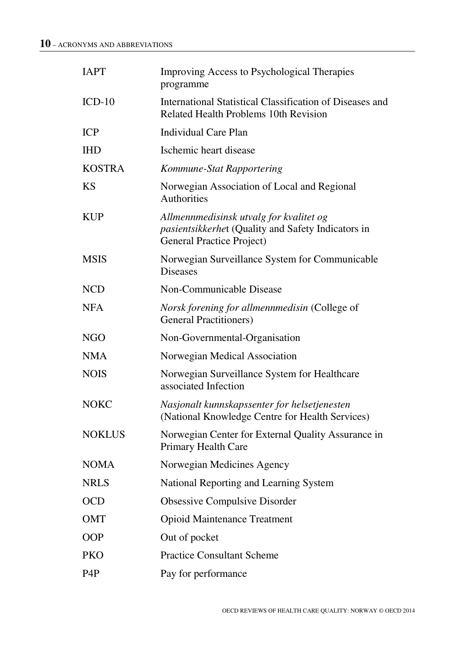| <b>IAPT</b>      | Improving Access to Psychological Therapies<br>programme                                                                   |
|------------------|----------------------------------------------------------------------------------------------------------------------------|
| $ICD-10$         | International Statistical Classification of Diseases and<br>Related Health Problems 10th Revision                          |
| <b>ICP</b>       | Individual Care Plan                                                                                                       |
| <b>IHD</b>       | Ischemic heart disease                                                                                                     |
| <b>KOSTRA</b>    | Kommune-Stat Rapportering                                                                                                  |
| <b>KS</b>        | Norwegian Association of Local and Regional<br>Authorities                                                                 |
| <b>KUP</b>       | Allmennmedisinsk utvalg for kvalitet og<br>pasientsikkerhet (Quality and Safety Indicators in<br>General Practice Project) |
| <b>MSIS</b>      | Norwegian Surveillance System for Communicable<br><b>Diseases</b>                                                          |
| NCD              | Non-Communicable Disease                                                                                                   |
| <b>NFA</b>       | Norsk forening for allmennmedisin (College of<br><b>General Practitioners)</b>                                             |
| NGO              | Non-Governmental-Organisation                                                                                              |
| <b>NMA</b>       | Norwegian Medical Association                                                                                              |
| <b>NOIS</b>      | Norwegian Surveillance System for Healthcare<br>associated Infection                                                       |
| <b>NOKC</b>      | Nasjonalt kunnskapssenter for helsetjenesten<br>(National Knowledge Centre for Health Services)                            |
| <b>NOKLUS</b>    | Norwegian Center for External Quality Assurance in<br>Primary Health Care                                                  |
| <b>NOMA</b>      | Norwegian Medicines Agency                                                                                                 |
| <b>NRLS</b>      | National Reporting and Learning System                                                                                     |
| <b>OCD</b>       | Obsessive Compulsive Disorder                                                                                              |
| OMT              | <b>Opioid Maintenance Treatment</b>                                                                                        |
| <b>OOP</b>       | Out of pocket                                                                                                              |
| PKO              | <b>Practice Consultant Scheme</b>                                                                                          |
| P <sub>4</sub> P | Pay for performance                                                                                                        |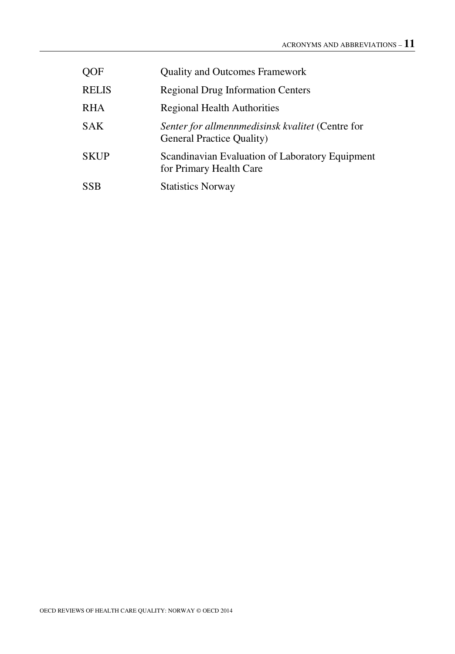| <b>OOF</b>   | <b>Quality and Outcomes Framework</b>                                         |
|--------------|-------------------------------------------------------------------------------|
| <b>RELIS</b> | <b>Regional Drug Information Centers</b>                                      |
| <b>RHA</b>   | Regional Health Authorities                                                   |
| <b>SAK</b>   | Senter for allmennmedisinsk kvalitet (Centre for<br>General Practice Quality) |
| <b>SKUP</b>  | Scandinavian Evaluation of Laboratory Equipment<br>for Primary Health Care    |
| <b>SSB</b>   | <b>Statistics Norway</b>                                                      |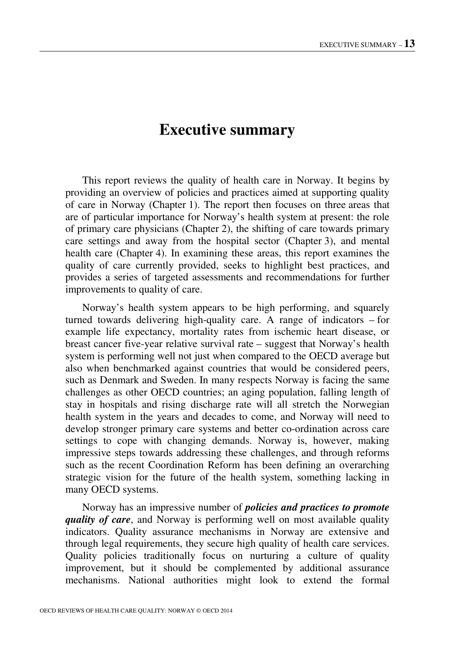# **Executive summary**

<span id="page-13-0"></span>This report reviews the quality of health care in Norway. It begins by providing an overview of policies and practices aimed at supporting quality of care in Norway (Chapter 1). The report then focuses on three areas that are of particular importance for Norway's health system at present: the role of primary care physicians (Chapter 2), the shifting of care towards primary care settings and away from the hospital sector (Chapter 3), and mental health care (Chapter 4). In examining these areas, this report examines the quality of care currently provided, seeks to highlight best practices, and provides a series of targeted assessments and recommendations for further improvements to quality of care.

Norway's health system appears to be high performing, and squarely turned towards delivering high-quality care. A range of indicators – for example life expectancy, mortality rates from ischemic heart disease, or breast cancer five-year relative survival rate – suggest that Norway's health system is performing well not just when compared to the OECD average but also when benchmarked against countries that would be considered peers, such as Denmark and Sweden. In many respects Norway is facing the same challenges as other OECD countries; an aging population, falling length of stay in hospitals and rising discharge rate will all stretch the Norwegian health system in the years and decades to come, and Norway will need to develop stronger primary care systems and better co-ordination across care settings to cope with changing demands. Norway is, however, making impressive steps towards addressing these challenges, and through reforms such as the recent Coordination Reform has been defining an overarching strategic vision for the future of the health system, something lacking in many OECD systems.

Norway has an impressive number of *policies and practices to promote quality of care*, and Norway is performing well on most available quality indicators. Quality assurance mechanisms in Norway are extensive and through legal requirements, they secure high quality of health care services. Quality policies traditionally focus on nurturing a culture of quality improvement, but it should be complemented by additional assurance mechanisms. National authorities might look to extend the formal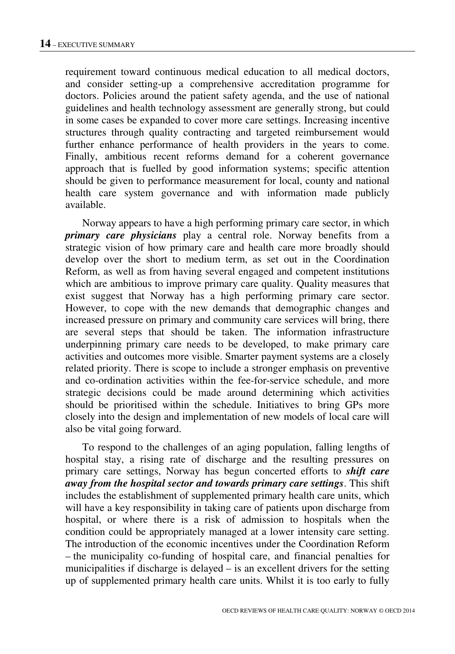requirement toward continuous medical education to all medical doctors, and consider setting-up a comprehensive accreditation programme for doctors. Policies around the patient safety agenda, and the use of national guidelines and health technology assessment are generally strong, but could in some cases be expanded to cover more care settings. Increasing incentive structures through quality contracting and targeted reimbursement would further enhance performance of health providers in the years to come. Finally, ambitious recent reforms demand for a coherent governance approach that is fuelled by good information systems; specific attention should be given to performance measurement for local, county and national health care system governance and with information made publicly available.

Norway appears to have a high performing primary care sector, in which *primary care physicians* play a central role. Norway benefits from a strategic vision of how primary care and health care more broadly should develop over the short to medium term, as set out in the Coordination Reform, as well as from having several engaged and competent institutions which are ambitious to improve primary care quality. Quality measures that exist suggest that Norway has a high performing primary care sector. However, to cope with the new demands that demographic changes and increased pressure on primary and community care services will bring, there are several steps that should be taken. The information infrastructure underpinning primary care needs to be developed, to make primary care activities and outcomes more visible. Smarter payment systems are a closely related priority. There is scope to include a stronger emphasis on preventive and co-ordination activities within the fee-for-service schedule, and more strategic decisions could be made around determining which activities should be prioritised within the schedule. Initiatives to bring GPs more closely into the design and implementation of new models of local care will also be vital going forward.

To respond to the challenges of an aging population, falling lengths of hospital stay, a rising rate of discharge and the resulting pressures on primary care settings, Norway has begun concerted efforts to *shift care away from the hospital sector and towards primary care settings*. This shift includes the establishment of supplemented primary health care units, which will have a key responsibility in taking care of patients upon discharge from hospital, or where there is a risk of admission to hospitals when the condition could be appropriately managed at a lower intensity care setting. The introduction of the economic incentives under the Coordination Reform – the municipality co-funding of hospital care, and financial penalties for municipalities if discharge is delayed – is an excellent drivers for the setting up of supplemented primary health care units. Whilst it is too early to fully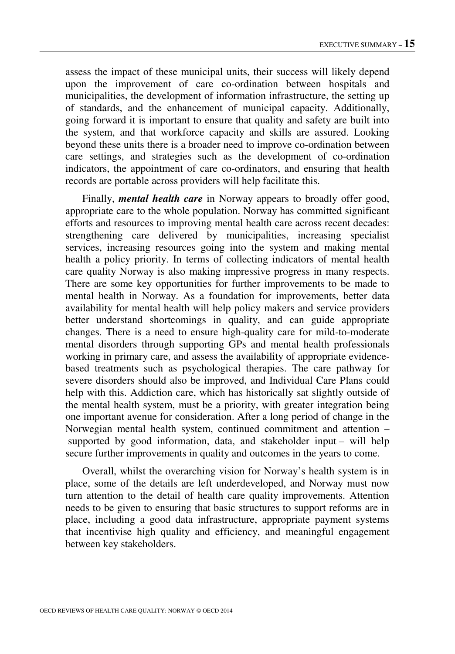assess the impact of these municipal units, their success will likely depend upon the improvement of care co-ordination between hospitals and municipalities, the development of information infrastructure, the setting up of standards, and the enhancement of municipal capacity. Additionally, going forward it is important to ensure that quality and safety are built into the system, and that workforce capacity and skills are assured. Looking beyond these units there is a broader need to improve co-ordination between care settings, and strategies such as the development of co-ordination indicators, the appointment of care co-ordinators, and ensuring that health records are portable across providers will help facilitate this.

Finally, *mental health care* in Norway appears to broadly offer good, appropriate care to the whole population. Norway has committed significant efforts and resources to improving mental health care across recent decades: strengthening care delivered by municipalities, increasing specialist services, increasing resources going into the system and making mental health a policy priority. In terms of collecting indicators of mental health care quality Norway is also making impressive progress in many respects. There are some key opportunities for further improvements to be made to mental health in Norway. As a foundation for improvements, better data availability for mental health will help policy makers and service providers better understand shortcomings in quality, and can guide appropriate changes. There is a need to ensure high-quality care for mild-to-moderate mental disorders through supporting GPs and mental health professionals working in primary care, and assess the availability of appropriate evidencebased treatments such as psychological therapies. The care pathway for severe disorders should also be improved, and Individual Care Plans could help with this. Addiction care, which has historically sat slightly outside of the mental health system, must be a priority, with greater integration being one important avenue for consideration. After a long period of change in the Norwegian mental health system, continued commitment and attention – supported by good information, data, and stakeholder input – will help secure further improvements in quality and outcomes in the years to come.

Overall, whilst the overarching vision for Norway's health system is in place, some of the details are left underdeveloped, and Norway must now turn attention to the detail of health care quality improvements. Attention needs to be given to ensuring that basic structures to support reforms are in place, including a good data infrastructure, appropriate payment systems that incentivise high quality and efficiency, and meaningful engagement between key stakeholders.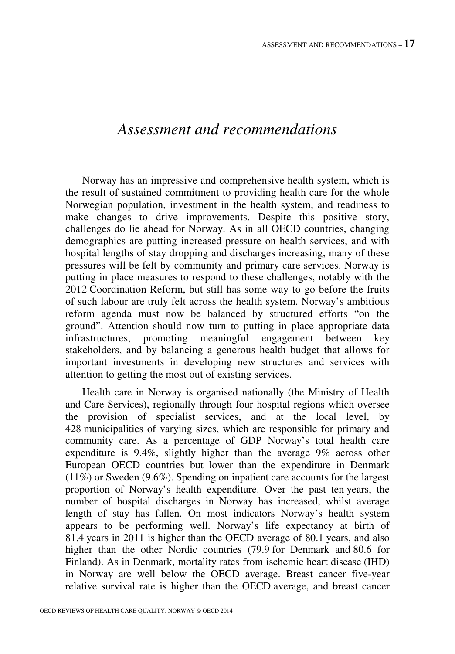# <span id="page-17-0"></span>*Assessment and recommendations*

Norway has an impressive and comprehensive health system, which is the result of sustained commitment to providing health care for the whole Norwegian population, investment in the health system, and readiness to make changes to drive improvements. Despite this positive story, challenges do lie ahead for Norway. As in all OECD countries, changing demographics are putting increased pressure on health services, and with hospital lengths of stay dropping and discharges increasing, many of these pressures will be felt by community and primary care services. Norway is putting in place measures to respond to these challenges, notably with the 2012 Coordination Reform, but still has some way to go before the fruits of such labour are truly felt across the health system. Norway's ambitious reform agenda must now be balanced by structured efforts "on the ground". Attention should now turn to putting in place appropriate data infrastructures, promoting meaningful engagement between key stakeholders, and by balancing a generous health budget that allows for important investments in developing new structures and services with attention to getting the most out of existing services.

Health care in Norway is organised nationally (the Ministry of Health and Care Services), regionally through four hospital regions which oversee the provision of specialist services, and at the local level, by 428 municipalities of varying sizes, which are responsible for primary and community care. As a percentage of GDP Norway's total health care expenditure is 9.4%, slightly higher than the average 9% across other European OECD countries but lower than the expenditure in Denmark (11%) or Sweden (9.6%). Spending on inpatient care accounts for the largest proportion of Norway's health expenditure. Over the past ten years, the number of hospital discharges in Norway has increased, whilst average length of stay has fallen. On most indicators Norway's health system appears to be performing well. Norway's life expectancy at birth of 81.4 years in 2011 is higher than the OECD average of 80.1 years, and also higher than the other Nordic countries (79.9 for Denmark and 80.6 for Finland). As in Denmark, mortality rates from ischemic heart disease (IHD) in Norway are well below the OECD average. Breast cancer five-year relative survival rate is higher than the OECD average, and breast cancer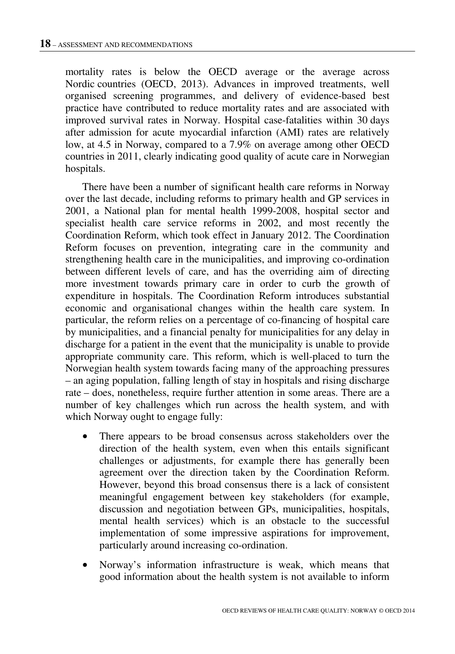mortality rates is below the OECD average or the average across Nordic countries (OECD, 2013). Advances in improved treatments, well organised screening programmes, and delivery of evidence-based best practice have contributed to reduce mortality rates and are associated with improved survival rates in Norway. Hospital case-fatalities within 30 days after admission for acute myocardial infarction (AMI) rates are relatively low, at 4.5 in Norway, compared to a 7.9% on average among other OECD countries in 2011, clearly indicating good quality of acute care in Norwegian hospitals.

There have been a number of significant health care reforms in Norway over the last decade, including reforms to primary health and GP services in 2001, a National plan for mental health 1999-2008, hospital sector and specialist health care service reforms in 2002, and most recently the Coordination Reform, which took effect in January 2012. The Coordination Reform focuses on prevention, integrating care in the community and strengthening health care in the municipalities, and improving co-ordination between different levels of care, and has the overriding aim of directing more investment towards primary care in order to curb the growth of expenditure in hospitals. The Coordination Reform introduces substantial economic and organisational changes within the health care system. In particular, the reform relies on a percentage of co-financing of hospital care by municipalities, and a financial penalty for municipalities for any delay in discharge for a patient in the event that the municipality is unable to provide appropriate community care. This reform, which is well-placed to turn the Norwegian health system towards facing many of the approaching pressures – an aging population, falling length of stay in hospitals and rising discharge rate – does, nonetheless, require further attention in some areas. There are a number of key challenges which run across the health system, and with which Norway ought to engage fully:

- There appears to be broad consensus across stakeholders over the direction of the health system, even when this entails significant challenges or adjustments, for example there has generally been agreement over the direction taken by the Coordination Reform. However, beyond this broad consensus there is a lack of consistent meaningful engagement between key stakeholders (for example, discussion and negotiation between GPs, municipalities, hospitals, mental health services) which is an obstacle to the successful implementation of some impressive aspirations for improvement, particularly around increasing co-ordination.
- Norway's information infrastructure is weak, which means that good information about the health system is not available to inform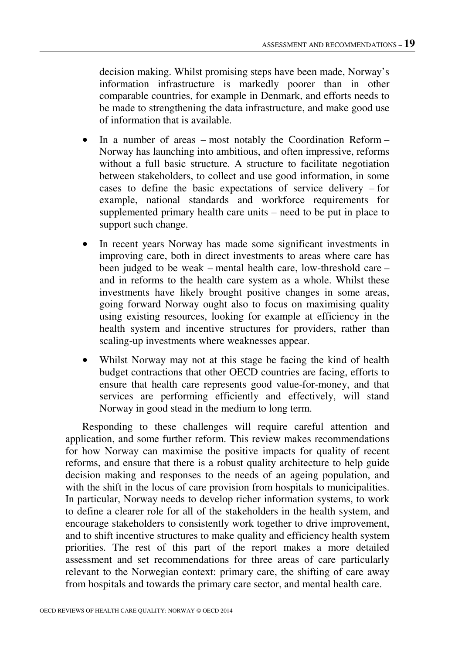decision making. Whilst promising steps have been made, Norway's information infrastructure is markedly poorer than in other comparable countries, for example in Denmark, and efforts needs to be made to strengthening the data infrastructure, and make good use of information that is available.

- In a number of areas most notably the Coordination Reform Norway has launching into ambitious, and often impressive, reforms without a full basic structure. A structure to facilitate negotiation between stakeholders, to collect and use good information, in some cases to define the basic expectations of service delivery – for example, national standards and workforce requirements for supplemented primary health care units – need to be put in place to support such change.
- In recent years Norway has made some significant investments in improving care, both in direct investments to areas where care has been judged to be weak – mental health care, low-threshold care – and in reforms to the health care system as a whole. Whilst these investments have likely brought positive changes in some areas, going forward Norway ought also to focus on maximising quality using existing resources, looking for example at efficiency in the health system and incentive structures for providers, rather than scaling-up investments where weaknesses appear.
- Whilst Norway may not at this stage be facing the kind of health budget contractions that other OECD countries are facing, efforts to ensure that health care represents good value-for-money, and that services are performing efficiently and effectively, will stand Norway in good stead in the medium to long term.

Responding to these challenges will require careful attention and application, and some further reform. This review makes recommendations for how Norway can maximise the positive impacts for quality of recent reforms, and ensure that there is a robust quality architecture to help guide decision making and responses to the needs of an ageing population, and with the shift in the locus of care provision from hospitals to municipalities. In particular, Norway needs to develop richer information systems, to work to define a clearer role for all of the stakeholders in the health system, and encourage stakeholders to consistently work together to drive improvement, and to shift incentive structures to make quality and efficiency health system priorities. The rest of this part of the report makes a more detailed assessment and set recommendations for three areas of care particularly relevant to the Norwegian context: primary care, the shifting of care away from hospitals and towards the primary care sector, and mental health care.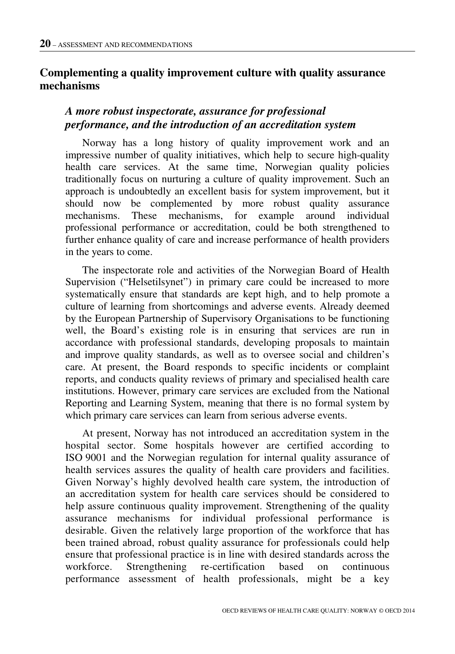## **Complementing a quality improvement culture with quality assurance mechanisms**

## *A more robust inspectorate, assurance for professional performance, and the introduction of an accreditation system*

Norway has a long history of quality improvement work and an impressive number of quality initiatives, which help to secure high-quality health care services. At the same time, Norwegian quality policies traditionally focus on nurturing a culture of quality improvement. Such an approach is undoubtedly an excellent basis for system improvement, but it should now be complemented by more robust quality assurance mechanisms. These mechanisms, for example around individual professional performance or accreditation, could be both strengthened to further enhance quality of care and increase performance of health providers in the years to come.

The inspectorate role and activities of the Norwegian Board of Health Supervision ("Helsetilsynet") in primary care could be increased to more systematically ensure that standards are kept high, and to help promote a culture of learning from shortcomings and adverse events. Already deemed by the European Partnership of Supervisory Organisations to be functioning well, the Board's existing role is in ensuring that services are run in accordance with professional standards, developing proposals to maintain and improve quality standards, as well as to oversee social and children's care. At present, the Board responds to specific incidents or complaint reports, and conducts quality reviews of primary and specialised health care institutions. However, primary care services are excluded from the National Reporting and Learning System, meaning that there is no formal system by which primary care services can learn from serious adverse events.

At present, Norway has not introduced an accreditation system in the hospital sector. Some hospitals however are certified according to ISO 9001 and the Norwegian regulation for internal quality assurance of health services assures the quality of health care providers and facilities. Given Norway's highly devolved health care system, the introduction of an accreditation system for health care services should be considered to help assure continuous quality improvement. Strengthening of the quality assurance mechanisms for individual professional performance is desirable. Given the relatively large proportion of the workforce that has been trained abroad, robust quality assurance for professionals could help ensure that professional practice is in line with desired standards across the workforce. Strengthening re-certification based on continuous performance assessment of health professionals, might be a key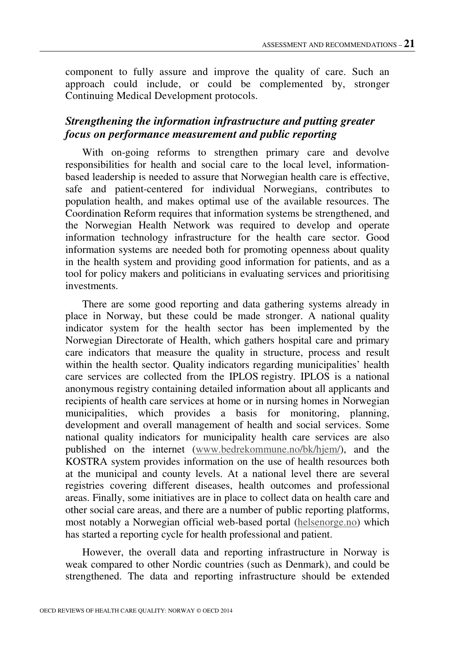component to fully assure and improve the quality of care. Such an approach could include, or could be complemented by, stronger Continuing Medical Development protocols.

#### *Strengthening the information infrastructure and putting greater focus on performance measurement and public reporting*

With on-going reforms to strengthen primary care and devolve responsibilities for health and social care to the local level, informationbased leadership is needed to assure that Norwegian health care is effective, safe and patient-centered for individual Norwegians, contributes to population health, and makes optimal use of the available resources. The Coordination Reform requires that information systems be strengthened, and the Norwegian Health Network was required to develop and operate information technology infrastructure for the health care sector. Good information systems are needed both for promoting openness about quality in the health system and providing good information for patients, and as a tool for policy makers and politicians in evaluating services and prioritising investments.

There are some good reporting and data gathering systems already in place in Norway, but these could be made stronger. A national quality indicator system for the health sector has been implemented by the Norwegian Directorate of Health, which gathers hospital care and primary care indicators that measure the quality in structure, process and result within the health sector. Quality indicators regarding municipalities' health care services are collected from the IPLOS registry. IPLOS is a national anonymous registry containing detailed information about all applicants and recipients of health care services at home or in nursing homes in Norwegian municipalities, which provides a basis for monitoring, planning, development and overall management of health and social services. Some national quality indicators for municipality health care services are also published on the internet (www.bedrekommune.no/bk/hjem/), and the KOSTRA system provides information on the use of health resources both at the municipal and county levels. At a national level there are several registries covering different diseases, health outcomes and professional areas. Finally, some initiatives are in place to collect data on health care and other social care areas, and there are a number of public reporting platforms, most notably a Norwegian official web-based portal (helsenorge.no) which has started a reporting cycle for health professional and patient.

However, the overall data and reporting infrastructure in Norway is weak compared to other Nordic countries (such as Denmark), and could be strengthened. The data and reporting infrastructure should be extended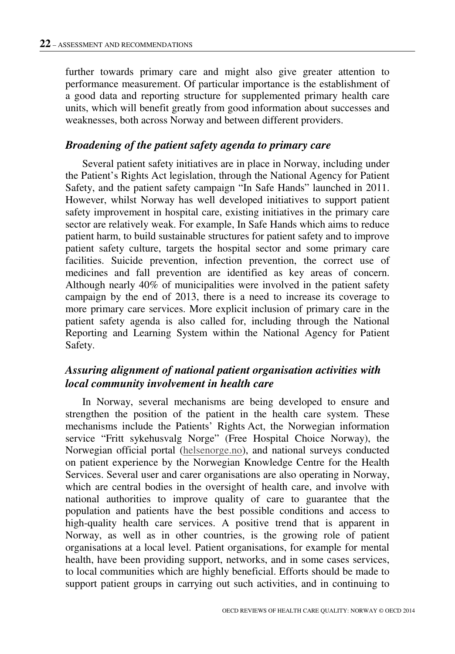further towards primary care and might also give greater attention to performance measurement. Of particular importance is the establishment of a good data and reporting structure for supplemented primary health care units, which will benefit greatly from good information about successes and weaknesses, both across Norway and between different providers.

#### *Broadening of the patient safety agenda to primary care*

Several patient safety initiatives are in place in Norway, including under the Patient's Rights Act legislation, through the National Agency for Patient Safety, and the patient safety campaign "In Safe Hands" launched in 2011. However, whilst Norway has well developed initiatives to support patient safety improvement in hospital care, existing initiatives in the primary care sector are relatively weak. For example, In Safe Hands which aims to reduce patient harm, to build sustainable structures for patient safety and to improve patient safety culture, targets the hospital sector and some primary care facilities. Suicide prevention, infection prevention, the correct use of medicines and fall prevention are identified as key areas of concern. Although nearly 40% of municipalities were involved in the patient safety campaign by the end of 2013, there is a need to increase its coverage to more primary care services. More explicit inclusion of primary care in the patient safety agenda is also called for, including through the National Reporting and Learning System within the National Agency for Patient Safety.

#### *Assuring alignment of national patient organisation activities with local community involvement in health care*

In Norway, several mechanisms are being developed to ensure and strengthen the position of the patient in the health care system. These mechanisms include the Patients' Rights Act, the Norwegian information service "Fritt sykehusvalg Norge" (Free Hospital Choice Norway), the Norwegian official portal (helsenorge.no), and national surveys conducted on patient experience by the Norwegian Knowledge Centre for the Health Services. Several user and carer organisations are also operating in Norway, which are central bodies in the oversight of health care, and involve with national authorities to improve quality of care to guarantee that the population and patients have the best possible conditions and access to high-quality health care services. A positive trend that is apparent in Norway, as well as in other countries, is the growing role of patient organisations at a local level. Patient organisations, for example for mental health, have been providing support, networks, and in some cases services, to local communities which are highly beneficial. Efforts should be made to support patient groups in carrying out such activities, and in continuing to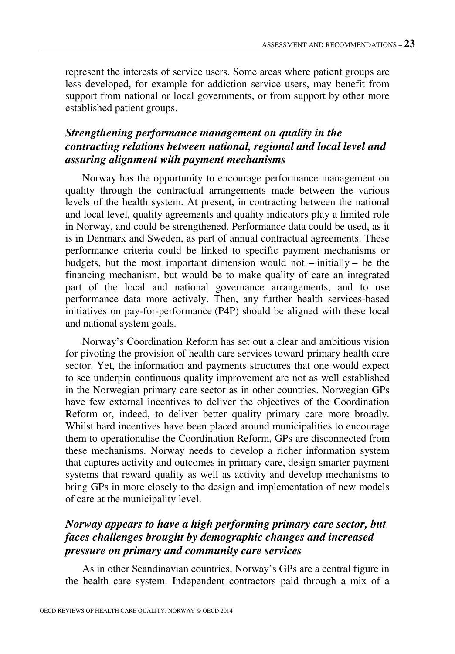represent the interests of service users. Some areas where patient groups are less developed, for example for addiction service users, may benefit from support from national or local governments, or from support by other more established patient groups.

### *Strengthening performance management on quality in the contracting relations between national, regional and local level and assuring alignment with payment mechanisms*

Norway has the opportunity to encourage performance management on quality through the contractual arrangements made between the various levels of the health system. At present, in contracting between the national and local level, quality agreements and quality indicators play a limited role in Norway, and could be strengthened. Performance data could be used, as it is in Denmark and Sweden, as part of annual contractual agreements. These performance criteria could be linked to specific payment mechanisms or budgets, but the most important dimension would not – initially – be the financing mechanism, but would be to make quality of care an integrated part of the local and national governance arrangements, and to use performance data more actively. Then, any further health services-based initiatives on pay-for-performance (P4P) should be aligned with these local and national system goals.

Norway's Coordination Reform has set out a clear and ambitious vision for pivoting the provision of health care services toward primary health care sector. Yet, the information and payments structures that one would expect to see underpin continuous quality improvement are not as well established in the Norwegian primary care sector as in other countries. Norwegian GPs have few external incentives to deliver the objectives of the Coordination Reform or, indeed, to deliver better quality primary care more broadly. Whilst hard incentives have been placed around municipalities to encourage them to operationalise the Coordination Reform, GPs are disconnected from these mechanisms. Norway needs to develop a richer information system that captures activity and outcomes in primary care, design smarter payment systems that reward quality as well as activity and develop mechanisms to bring GPs in more closely to the design and implementation of new models of care at the municipality level.

#### *Norway appears to have a high performing primary care sector, but faces challenges brought by demographic changes and increased pressure on primary and community care services*

As in other Scandinavian countries, Norway's GPs are a central figure in the health care system. Independent contractors paid through a mix of a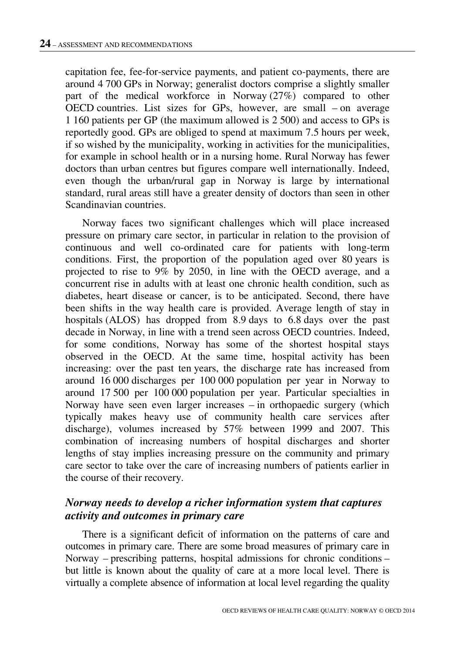capitation fee, fee-for-service payments, and patient co-payments, there are around 4 700 GPs in Norway; generalist doctors comprise a slightly smaller part of the medical workforce in Norway (27%) compared to other OECD countries. List sizes for GPs, however, are small – on average 1 160 patients per GP (the maximum allowed is 2 500) and access to GPs is reportedly good. GPs are obliged to spend at maximum 7.5 hours per week, if so wished by the municipality, working in activities for the municipalities, for example in school health or in a nursing home. Rural Norway has fewer doctors than urban centres but figures compare well internationally. Indeed, even though the urban/rural gap in Norway is large by international standard, rural areas still have a greater density of doctors than seen in other Scandinavian countries.

Norway faces two significant challenges which will place increased pressure on primary care sector, in particular in relation to the provision of continuous and well co-ordinated care for patients with long-term conditions. First, the proportion of the population aged over 80 years is projected to rise to 9% by 2050, in line with the OECD average, and a concurrent rise in adults with at least one chronic health condition, such as diabetes, heart disease or cancer, is to be anticipated. Second, there have been shifts in the way health care is provided. Average length of stay in hospitals (ALOS) has dropped from 8.9 days to 6.8 days over the past decade in Norway, in line with a trend seen across OECD countries. Indeed, for some conditions, Norway has some of the shortest hospital stays observed in the OECD. At the same time, hospital activity has been increasing: over the past ten years, the discharge rate has increased from around 16 000 discharges per 100 000 population per year in Norway to around 17 500 per 100 000 population per year. Particular specialties in Norway have seen even larger increases – in orthopaedic surgery (which typically makes heavy use of community health care services after discharge), volumes increased by 57% between 1999 and 2007. This combination of increasing numbers of hospital discharges and shorter lengths of stay implies increasing pressure on the community and primary care sector to take over the care of increasing numbers of patients earlier in the course of their recovery.

#### *Norway needs to develop a richer information system that captures activity and outcomes in primary care*

There is a significant deficit of information on the patterns of care and outcomes in primary care. There are some broad measures of primary care in Norway – prescribing patterns, hospital admissions for chronic conditions – but little is known about the quality of care at a more local level. There is virtually a complete absence of information at local level regarding the quality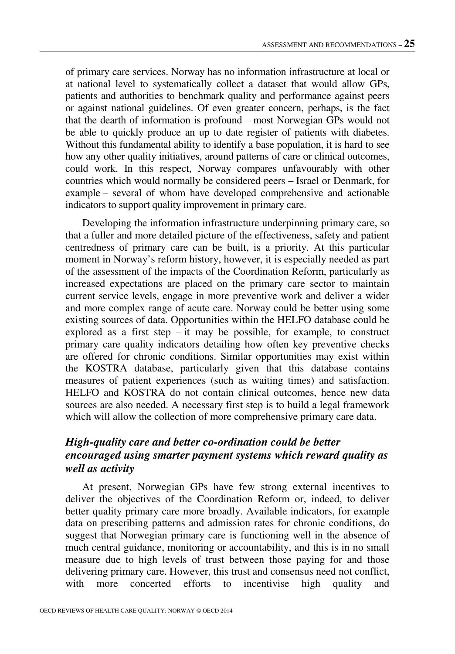of primary care services. Norway has no information infrastructure at local or at national level to systematically collect a dataset that would allow GPs, patients and authorities to benchmark quality and performance against peers or against national guidelines. Of even greater concern, perhaps, is the fact that the dearth of information is profound – most Norwegian GPs would not be able to quickly produce an up to date register of patients with diabetes. Without this fundamental ability to identify a base population, it is hard to see how any other quality initiatives, around patterns of care or clinical outcomes, could work. In this respect, Norway compares unfavourably with other countries which would normally be considered peers – Israel or Denmark, for example – several of whom have developed comprehensive and actionable indicators to support quality improvement in primary care.

Developing the information infrastructure underpinning primary care, so that a fuller and more detailed picture of the effectiveness, safety and patient centredness of primary care can be built, is a priority. At this particular moment in Norway's reform history, however, it is especially needed as part of the assessment of the impacts of the Coordination Reform, particularly as increased expectations are placed on the primary care sector to maintain current service levels, engage in more preventive work and deliver a wider and more complex range of acute care. Norway could be better using some existing sources of data. Opportunities within the HELFO database could be explored as a first step  $-$  it may be possible, for example, to construct primary care quality indicators detailing how often key preventive checks are offered for chronic conditions. Similar opportunities may exist within the KOSTRA database, particularly given that this database contains measures of patient experiences (such as waiting times) and satisfaction. HELFO and KOSTRA do not contain clinical outcomes, hence new data sources are also needed. A necessary first step is to build a legal framework which will allow the collection of more comprehensive primary care data.

#### *High-quality care and better co-ordination could be better encouraged using smarter payment systems which reward quality as well as activity*

At present, Norwegian GPs have few strong external incentives to deliver the objectives of the Coordination Reform or, indeed, to deliver better quality primary care more broadly. Available indicators, for example data on prescribing patterns and admission rates for chronic conditions, do suggest that Norwegian primary care is functioning well in the absence of much central guidance, monitoring or accountability, and this is in no small measure due to high levels of trust between those paying for and those delivering primary care. However, this trust and consensus need not conflict, with more concerted efforts to incentivise high quality and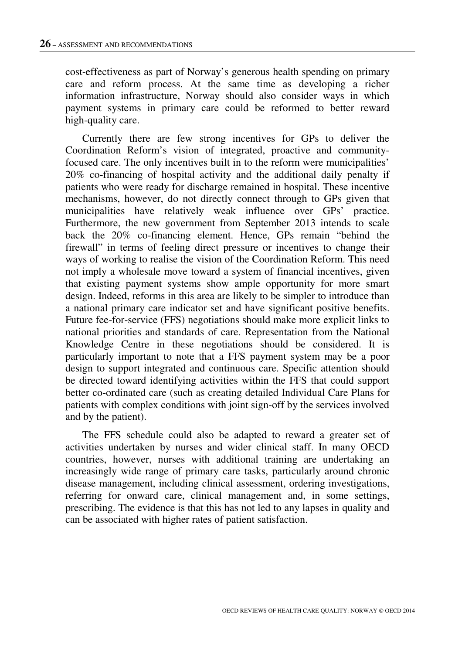cost-effectiveness as part of Norway's generous health spending on primary care and reform process. At the same time as developing a richer information infrastructure, Norway should also consider ways in which payment systems in primary care could be reformed to better reward high-quality care.

Currently there are few strong incentives for GPs to deliver the Coordination Reform's vision of integrated, proactive and communityfocused care. The only incentives built in to the reform were municipalities' 20% co-financing of hospital activity and the additional daily penalty if patients who were ready for discharge remained in hospital. These incentive mechanisms, however, do not directly connect through to GPs given that municipalities have relatively weak influence over GPs' practice. Furthermore, the new government from September 2013 intends to scale back the 20% co-financing element. Hence, GPs remain "behind the firewall" in terms of feeling direct pressure or incentives to change their ways of working to realise the vision of the Coordination Reform. This need not imply a wholesale move toward a system of financial incentives, given that existing payment systems show ample opportunity for more smart design. Indeed, reforms in this area are likely to be simpler to introduce than a national primary care indicator set and have significant positive benefits. Future fee-for-service (FFS) negotiations should make more explicit links to national priorities and standards of care. Representation from the National Knowledge Centre in these negotiations should be considered. It is particularly important to note that a FFS payment system may be a poor design to support integrated and continuous care. Specific attention should be directed toward identifying activities within the FFS that could support better co-ordinated care (such as creating detailed Individual Care Plans for patients with complex conditions with joint sign-off by the services involved and by the patient).

The FFS schedule could also be adapted to reward a greater set of activities undertaken by nurses and wider clinical staff. In many OECD countries, however, nurses with additional training are undertaking an increasingly wide range of primary care tasks, particularly around chronic disease management, including clinical assessment, ordering investigations, referring for onward care, clinical management and, in some settings, prescribing. The evidence is that this has not led to any lapses in quality and can be associated with higher rates of patient satisfaction.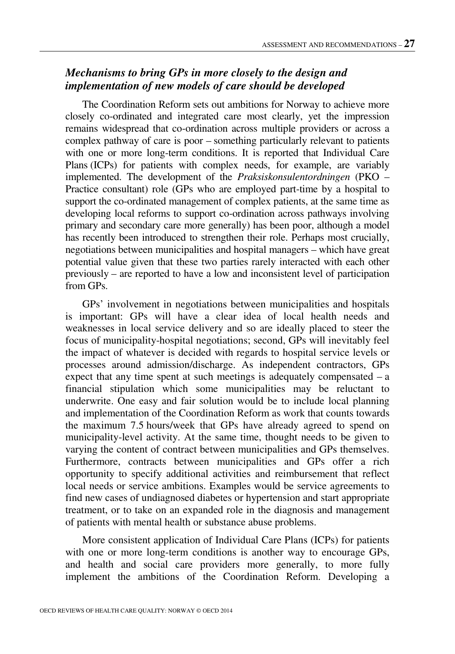### *Mechanisms to bring GPs in more closely to the design and implementation of new models of care should be developed*

The Coordination Reform sets out ambitions for Norway to achieve more closely co-ordinated and integrated care most clearly, yet the impression remains widespread that co-ordination across multiple providers or across a complex pathway of care is poor – something particularly relevant to patients with one or more long-term conditions. It is reported that Individual Care Plans (ICPs) for patients with complex needs, for example, are variably implemented. The development of the *Praksiskonsulentordningen* (PKO – Practice consultant) role (GPs who are employed part-time by a hospital to support the co-ordinated management of complex patients, at the same time as developing local reforms to support co-ordination across pathways involving primary and secondary care more generally) has been poor, although a model has recently been introduced to strengthen their role. Perhaps most crucially, negotiations between municipalities and hospital managers – which have great potential value given that these two parties rarely interacted with each other previously – are reported to have a low and inconsistent level of participation from GPs.

GPs' involvement in negotiations between municipalities and hospitals is important: GPs will have a clear idea of local health needs and weaknesses in local service delivery and so are ideally placed to steer the focus of municipality-hospital negotiations; second, GPs will inevitably feel the impact of whatever is decided with regards to hospital service levels or processes around admission/discharge. As independent contractors, GPs expect that any time spent at such meetings is adequately compensated  $- a$ financial stipulation which some municipalities may be reluctant to underwrite. One easy and fair solution would be to include local planning and implementation of the Coordination Reform as work that counts towards the maximum 7.5 hours/week that GPs have already agreed to spend on municipality-level activity. At the same time, thought needs to be given to varying the content of contract between municipalities and GPs themselves. Furthermore, contracts between municipalities and GPs offer a rich opportunity to specify additional activities and reimbursement that reflect local needs or service ambitions. Examples would be service agreements to find new cases of undiagnosed diabetes or hypertension and start appropriate treatment, or to take on an expanded role in the diagnosis and management of patients with mental health or substance abuse problems.

More consistent application of Individual Care Plans (ICPs) for patients with one or more long-term conditions is another way to encourage GPs, and health and social care providers more generally, to more fully implement the ambitions of the Coordination Reform. Developing a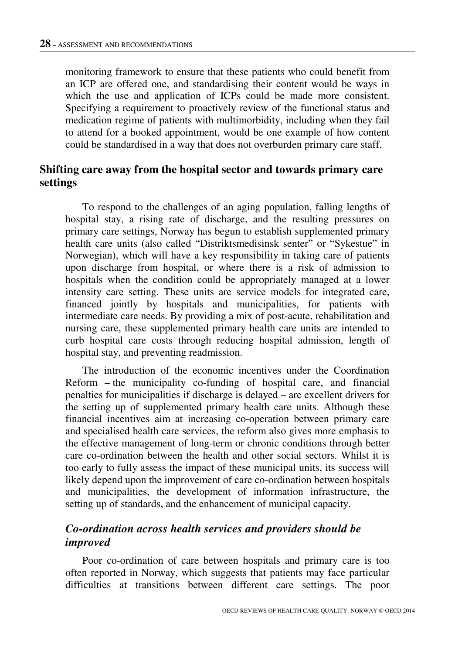monitoring framework to ensure that these patients who could benefit from an ICP are offered one, and standardising their content would be ways in which the use and application of ICPs could be made more consistent. Specifying a requirement to proactively review of the functional status and medication regime of patients with multimorbidity, including when they fail to attend for a booked appointment, would be one example of how content could be standardised in a way that does not overburden primary care staff.

#### **Shifting care away from the hospital sector and towards primary care settings**

To respond to the challenges of an aging population, falling lengths of hospital stay, a rising rate of discharge, and the resulting pressures on primary care settings, Norway has begun to establish supplemented primary health care units (also called "Distriktsmedisinsk senter" or "Sykestue" in Norwegian), which will have a key responsibility in taking care of patients upon discharge from hospital, or where there is a risk of admission to hospitals when the condition could be appropriately managed at a lower intensity care setting. These units are service models for integrated care, financed jointly by hospitals and municipalities, for patients with intermediate care needs. By providing a mix of post-acute, rehabilitation and nursing care, these supplemented primary health care units are intended to curb hospital care costs through reducing hospital admission, length of hospital stay, and preventing readmission.

The introduction of the economic incentives under the Coordination Reform – the municipality co-funding of hospital care, and financial penalties for municipalities if discharge is delayed – are excellent drivers for the setting up of supplemented primary health care units. Although these financial incentives aim at increasing co-operation between primary care and specialised health care services, the reform also gives more emphasis to the effective management of long-term or chronic conditions through better care co-ordination between the health and other social sectors. Whilst it is too early to fully assess the impact of these municipal units, its success will likely depend upon the improvement of care co-ordination between hospitals and municipalities, the development of information infrastructure, the setting up of standards, and the enhancement of municipal capacity.

#### *Co-ordination across health services and providers should be improved*

Poor co-ordination of care between hospitals and primary care is too often reported in Norway, which suggests that patients may face particular difficulties at transitions between different care settings. The poor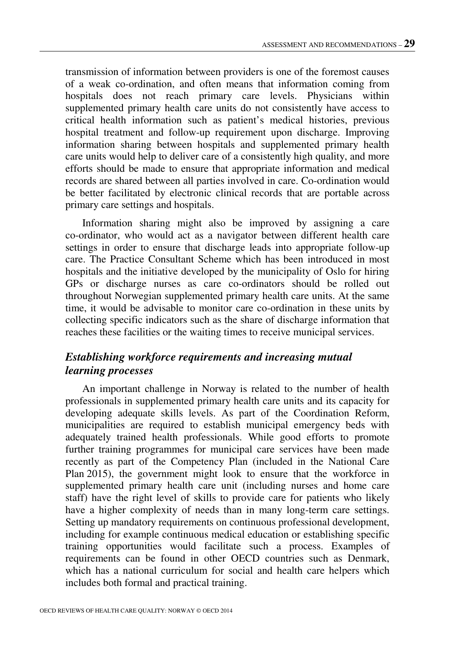transmission of information between providers is one of the foremost causes of a weak co-ordination, and often means that information coming from hospitals does not reach primary care levels. Physicians within supplemented primary health care units do not consistently have access to critical health information such as patient's medical histories, previous hospital treatment and follow-up requirement upon discharge. Improving information sharing between hospitals and supplemented primary health care units would help to deliver care of a consistently high quality, and more efforts should be made to ensure that appropriate information and medical records are shared between all parties involved in care. Co-ordination would be better facilitated by electronic clinical records that are portable across primary care settings and hospitals.

Information sharing might also be improved by assigning a care co-ordinator, who would act as a navigator between different health care settings in order to ensure that discharge leads into appropriate follow-up care. The Practice Consultant Scheme which has been introduced in most hospitals and the initiative developed by the municipality of Oslo for hiring GPs or discharge nurses as care co-ordinators should be rolled out throughout Norwegian supplemented primary health care units. At the same time, it would be advisable to monitor care co-ordination in these units by collecting specific indicators such as the share of discharge information that reaches these facilities or the waiting times to receive municipal services.

## *Establishing workforce requirements and increasing mutual learning processes*

An important challenge in Norway is related to the number of health professionals in supplemented primary health care units and its capacity for developing adequate skills levels. As part of the Coordination Reform, municipalities are required to establish municipal emergency beds with adequately trained health professionals. While good efforts to promote further training programmes for municipal care services have been made recently as part of the Competency Plan (included in the National Care Plan 2015), the government might look to ensure that the workforce in supplemented primary health care unit (including nurses and home care staff) have the right level of skills to provide care for patients who likely have a higher complexity of needs than in many long-term care settings. Setting up mandatory requirements on continuous professional development, including for example continuous medical education or establishing specific training opportunities would facilitate such a process. Examples of requirements can be found in other OECD countries such as Denmark, which has a national curriculum for social and health care helpers which includes both formal and practical training.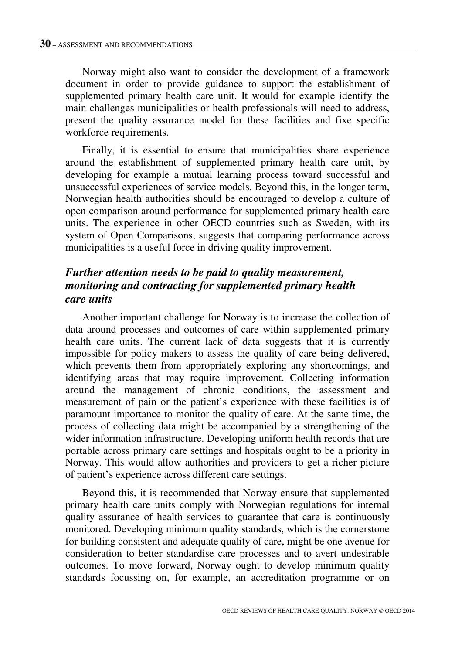Norway might also want to consider the development of a framework document in order to provide guidance to support the establishment of supplemented primary health care unit. It would for example identify the main challenges municipalities or health professionals will need to address, present the quality assurance model for these facilities and fixe specific workforce requirements.

Finally, it is essential to ensure that municipalities share experience around the establishment of supplemented primary health care unit, by developing for example a mutual learning process toward successful and unsuccessful experiences of service models. Beyond this, in the longer term, Norwegian health authorities should be encouraged to develop a culture of open comparison around performance for supplemented primary health care units. The experience in other OECD countries such as Sweden, with its system of Open Comparisons, suggests that comparing performance across municipalities is a useful force in driving quality improvement.

### *Further attention needs to be paid to quality measurement, monitoring and contracting for supplemented primary health care units*

Another important challenge for Norway is to increase the collection of data around processes and outcomes of care within supplemented primary health care units. The current lack of data suggests that it is currently impossible for policy makers to assess the quality of care being delivered, which prevents them from appropriately exploring any shortcomings, and identifying areas that may require improvement. Collecting information around the management of chronic conditions, the assessment and measurement of pain or the patient's experience with these facilities is of paramount importance to monitor the quality of care. At the same time, the process of collecting data might be accompanied by a strengthening of the wider information infrastructure. Developing uniform health records that are portable across primary care settings and hospitals ought to be a priority in Norway. This would allow authorities and providers to get a richer picture of patient's experience across different care settings.

Beyond this, it is recommended that Norway ensure that supplemented primary health care units comply with Norwegian regulations for internal quality assurance of health services to guarantee that care is continuously monitored. Developing minimum quality standards, which is the cornerstone for building consistent and adequate quality of care, might be one avenue for consideration to better standardise care processes and to avert undesirable outcomes. To move forward, Norway ought to develop minimum quality standards focussing on, for example, an accreditation programme or on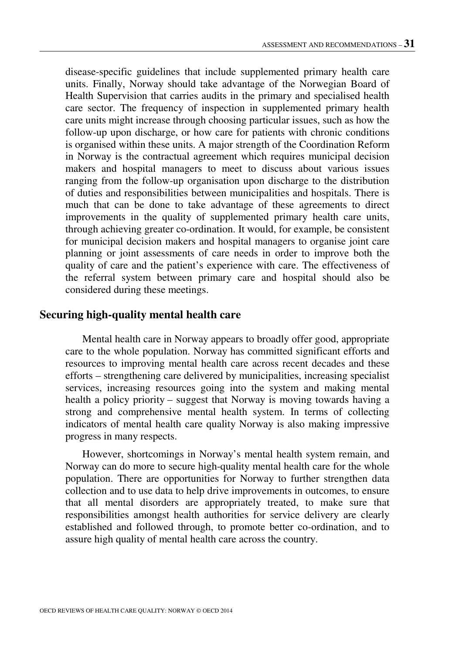disease-specific guidelines that include supplemented primary health care units. Finally, Norway should take advantage of the Norwegian Board of Health Supervision that carries audits in the primary and specialised health care sector. The frequency of inspection in supplemented primary health care units might increase through choosing particular issues, such as how the follow-up upon discharge, or how care for patients with chronic conditions is organised within these units. A major strength of the Coordination Reform in Norway is the contractual agreement which requires municipal decision makers and hospital managers to meet to discuss about various issues ranging from the follow-up organisation upon discharge to the distribution of duties and responsibilities between municipalities and hospitals. There is much that can be done to take advantage of these agreements to direct improvements in the quality of supplemented primary health care units, through achieving greater co-ordination. It would, for example, be consistent for municipal decision makers and hospital managers to organise joint care planning or joint assessments of care needs in order to improve both the quality of care and the patient's experience with care. The effectiveness of the referral system between primary care and hospital should also be considered during these meetings.

#### **Securing high-quality mental health care**

Mental health care in Norway appears to broadly offer good, appropriate care to the whole population. Norway has committed significant efforts and resources to improving mental health care across recent decades and these efforts – strengthening care delivered by municipalities, increasing specialist services, increasing resources going into the system and making mental health a policy priority – suggest that Norway is moving towards having a strong and comprehensive mental health system. In terms of collecting indicators of mental health care quality Norway is also making impressive progress in many respects.

However, shortcomings in Norway's mental health system remain, and Norway can do more to secure high-quality mental health care for the whole population. There are opportunities for Norway to further strengthen data collection and to use data to help drive improvements in outcomes, to ensure that all mental disorders are appropriately treated, to make sure that responsibilities amongst health authorities for service delivery are clearly established and followed through, to promote better co-ordination, and to assure high quality of mental health care across the country.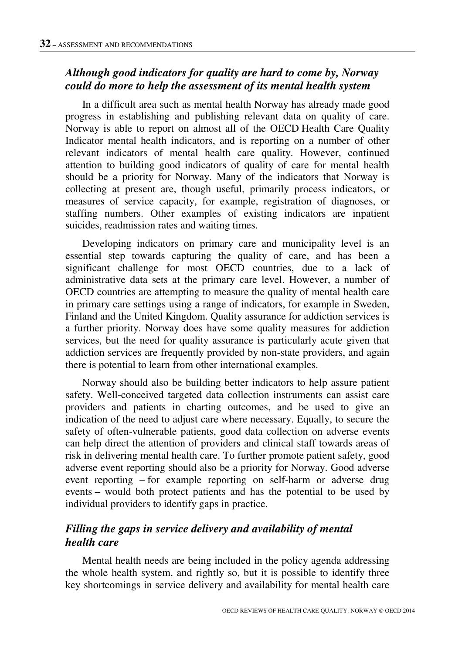## *Although good indicators for quality are hard to come by, Norway could do more to help the assessment of its mental health system*

In a difficult area such as mental health Norway has already made good progress in establishing and publishing relevant data on quality of care. Norway is able to report on almost all of the OECD Health Care Quality Indicator mental health indicators, and is reporting on a number of other relevant indicators of mental health care quality. However, continued attention to building good indicators of quality of care for mental health should be a priority for Norway. Many of the indicators that Norway is collecting at present are, though useful, primarily process indicators, or measures of service capacity, for example, registration of diagnoses, or staffing numbers. Other examples of existing indicators are inpatient suicides, readmission rates and waiting times.

Developing indicators on primary care and municipality level is an essential step towards capturing the quality of care, and has been a significant challenge for most OECD countries, due to a lack of administrative data sets at the primary care level. However, a number of OECD countries are attempting to measure the quality of mental health care in primary care settings using a range of indicators, for example in Sweden, Finland and the United Kingdom. Quality assurance for addiction services is a further priority. Norway does have some quality measures for addiction services, but the need for quality assurance is particularly acute given that addiction services are frequently provided by non-state providers, and again there is potential to learn from other international examples.

Norway should also be building better indicators to help assure patient safety. Well-conceived targeted data collection instruments can assist care providers and patients in charting outcomes, and be used to give an indication of the need to adjust care where necessary. Equally, to secure the safety of often-vulnerable patients, good data collection on adverse events can help direct the attention of providers and clinical staff towards areas of risk in delivering mental health care. To further promote patient safety, good adverse event reporting should also be a priority for Norway. Good adverse event reporting – for example reporting on self-harm or adverse drug events – would both protect patients and has the potential to be used by individual providers to identify gaps in practice.

#### *Filling the gaps in service delivery and availability of mental health care*

Mental health needs are being included in the policy agenda addressing the whole health system, and rightly so, but it is possible to identify three key shortcomings in service delivery and availability for mental health care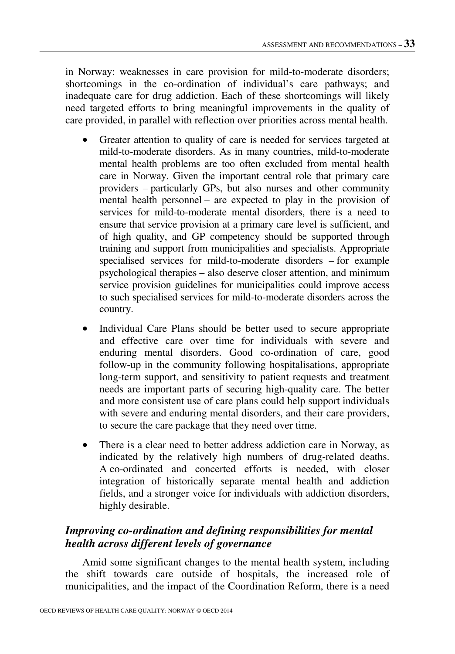in Norway: weaknesses in care provision for mild-to-moderate disorders; shortcomings in the co-ordination of individual's care pathways; and inadequate care for drug addiction. Each of these shortcomings will likely need targeted efforts to bring meaningful improvements in the quality of care provided, in parallel with reflection over priorities across mental health.

- Greater attention to quality of care is needed for services targeted at mild-to-moderate disorders. As in many countries, mild-to-moderate mental health problems are too often excluded from mental health care in Norway. Given the important central role that primary care providers – particularly GPs, but also nurses and other community mental health personnel – are expected to play in the provision of services for mild-to-moderate mental disorders, there is a need to ensure that service provision at a primary care level is sufficient, and of high quality, and GP competency should be supported through training and support from municipalities and specialists. Appropriate specialised services for mild-to-moderate disorders – for example psychological therapies – also deserve closer attention, and minimum service provision guidelines for municipalities could improve access to such specialised services for mild-to-moderate disorders across the country.
- Individual Care Plans should be better used to secure appropriate and effective care over time for individuals with severe and enduring mental disorders. Good co-ordination of care, good follow-up in the community following hospitalisations, appropriate long-term support, and sensitivity to patient requests and treatment needs are important parts of securing high-quality care. The better and more consistent use of care plans could help support individuals with severe and enduring mental disorders, and their care providers, to secure the care package that they need over time.
- There is a clear need to better address addiction care in Norway, as indicated by the relatively high numbers of drug-related deaths. A co-ordinated and concerted efforts is needed, with closer integration of historically separate mental health and addiction fields, and a stronger voice for individuals with addiction disorders, highly desirable.

## *Improving co-ordination and defining responsibilities for mental health across different levels of governance*

Amid some significant changes to the mental health system, including the shift towards care outside of hospitals, the increased role of municipalities, and the impact of the Coordination Reform, there is a need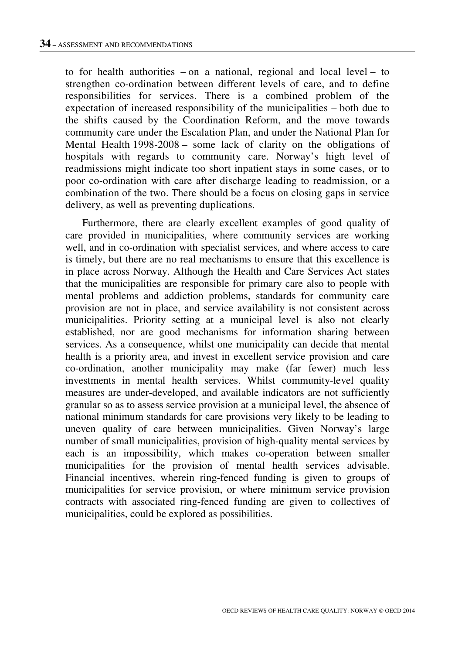to for health authorities – on a national, regional and local level – to strengthen co-ordination between different levels of care, and to define responsibilities for services. There is a combined problem of the expectation of increased responsibility of the municipalities – both due to the shifts caused by the Coordination Reform, and the move towards community care under the Escalation Plan, and under the National Plan for Mental Health 1998-2008 – some lack of clarity on the obligations of hospitals with regards to community care. Norway's high level of readmissions might indicate too short inpatient stays in some cases, or to poor co-ordination with care after discharge leading to readmission, or a combination of the two. There should be a focus on closing gaps in service delivery, as well as preventing duplications.

Furthermore, there are clearly excellent examples of good quality of care provided in municipalities, where community services are working well, and in co-ordination with specialist services, and where access to care is timely, but there are no real mechanisms to ensure that this excellence is in place across Norway. Although the Health and Care Services Act states that the municipalities are responsible for primary care also to people with mental problems and addiction problems, standards for community care provision are not in place, and service availability is not consistent across municipalities. Priority setting at a municipal level is also not clearly established, nor are good mechanisms for information sharing between services. As a consequence, whilst one municipality can decide that mental health is a priority area, and invest in excellent service provision and care co-ordination, another municipality may make (far fewer) much less investments in mental health services. Whilst community-level quality measures are under-developed, and available indicators are not sufficiently granular so as to assess service provision at a municipal level, the absence of national minimum standards for care provisions very likely to be leading to uneven quality of care between municipalities. Given Norway's large number of small municipalities, provision of high-quality mental services by each is an impossibility, which makes co-operation between smaller municipalities for the provision of mental health services advisable. Financial incentives, wherein ring-fenced funding is given to groups of municipalities for service provision, or where minimum service provision contracts with associated ring-fenced funding are given to collectives of municipalities, could be explored as possibilities.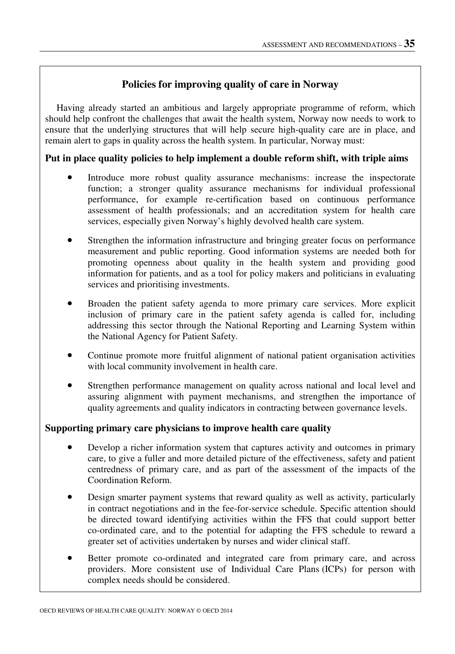### **Policies for improving quality of care in Norway**

Having already started an ambitious and largely appropriate programme of reform, which should help confront the challenges that await the health system, Norway now needs to work to ensure that the underlying structures that will help secure high-quality care are in place, and remain alert to gaps in quality across the health system. In particular, Norway must:

#### **Put in place quality policies to help implement a double reform shift, with triple aims**

- Introduce more robust quality assurance mechanisms: increase the inspectorate function; a stronger quality assurance mechanisms for individual professional performance, for example re-certification based on continuous performance assessment of health professionals; and an accreditation system for health care services, especially given Norway's highly devolved health care system.
- Strengthen the information infrastructure and bringing greater focus on performance measurement and public reporting. Good information systems are needed both for promoting openness about quality in the health system and providing good information for patients, and as a tool for policy makers and politicians in evaluating services and prioritising investments.
- Broaden the patient safety agenda to more primary care services. More explicit inclusion of primary care in the patient safety agenda is called for, including addressing this sector through the National Reporting and Learning System within the National Agency for Patient Safety.
- Continue promote more fruitful alignment of national patient organisation activities with local community involvement in health care.
- Strengthen performance management on quality across national and local level and assuring alignment with payment mechanisms, and strengthen the importance of quality agreements and quality indicators in contracting between governance levels.

#### **Supporting primary care physicians to improve health care quality**

- Develop a richer information system that captures activity and outcomes in primary care, to give a fuller and more detailed picture of the effectiveness, safety and patient centredness of primary care, and as part of the assessment of the impacts of the Coordination Reform.
- Design smarter payment systems that reward quality as well as activity, particularly in contract negotiations and in the fee-for-service schedule. Specific attention should be directed toward identifying activities within the FFS that could support better co-ordinated care, and to the potential for adapting the FFS schedule to reward a greater set of activities undertaken by nurses and wider clinical staff.
- Better promote co-ordinated and integrated care from primary care, and across providers. More consistent use of Individual Care Plans (ICPs) for person with complex needs should be considered.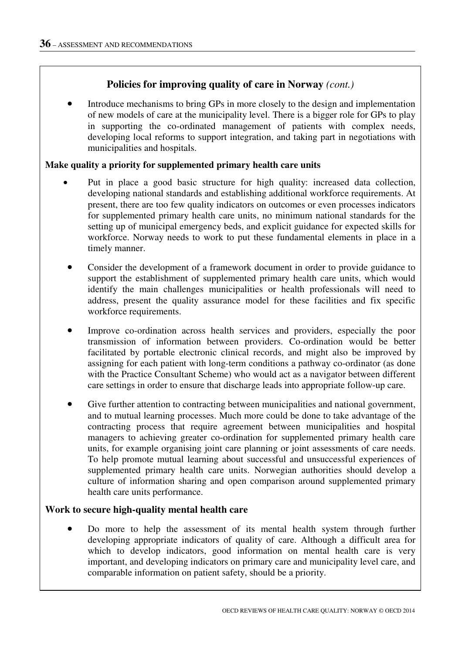#### **Policies for improving quality of care in Norway** *(cont.)*

• Introduce mechanisms to bring GPs in more closely to the design and implementation of new models of care at the municipality level. There is a bigger role for GPs to play in supporting the co-ordinated management of patients with complex needs, developing local reforms to support integration, and taking part in negotiations with municipalities and hospitals.

#### **Make quality a priority for supplemented primary health care units**

- Put in place a good basic structure for high quality: increased data collection, developing national standards and establishing additional workforce requirements. At present, there are too few quality indicators on outcomes or even processes indicators for supplemented primary health care units, no minimum national standards for the setting up of municipal emergency beds, and explicit guidance for expected skills for workforce. Norway needs to work to put these fundamental elements in place in a timely manner.
- Consider the development of a framework document in order to provide guidance to support the establishment of supplemented primary health care units, which would identify the main challenges municipalities or health professionals will need to address, present the quality assurance model for these facilities and fix specific workforce requirements.
- Improve co-ordination across health services and providers, especially the poor transmission of information between providers. Co-ordination would be better facilitated by portable electronic clinical records, and might also be improved by assigning for each patient with long-term conditions a pathway co-ordinator (as done with the Practice Consultant Scheme) who would act as a navigator between different care settings in order to ensure that discharge leads into appropriate follow-up care.
- Give further attention to contracting between municipalities and national government, and to mutual learning processes. Much more could be done to take advantage of the contracting process that require agreement between municipalities and hospital managers to achieving greater co-ordination for supplemented primary health care units, for example organising joint care planning or joint assessments of care needs. To help promote mutual learning about successful and unsuccessful experiences of supplemented primary health care units. Norwegian authorities should develop a culture of information sharing and open comparison around supplemented primary health care units performance.

#### **Work to secure high-quality mental health care**

• Do more to help the assessment of its mental health system through further developing appropriate indicators of quality of care. Although a difficult area for which to develop indicators, good information on mental health care is very important, and developing indicators on primary care and municipality level care, and comparable information on patient safety, should be a priority.